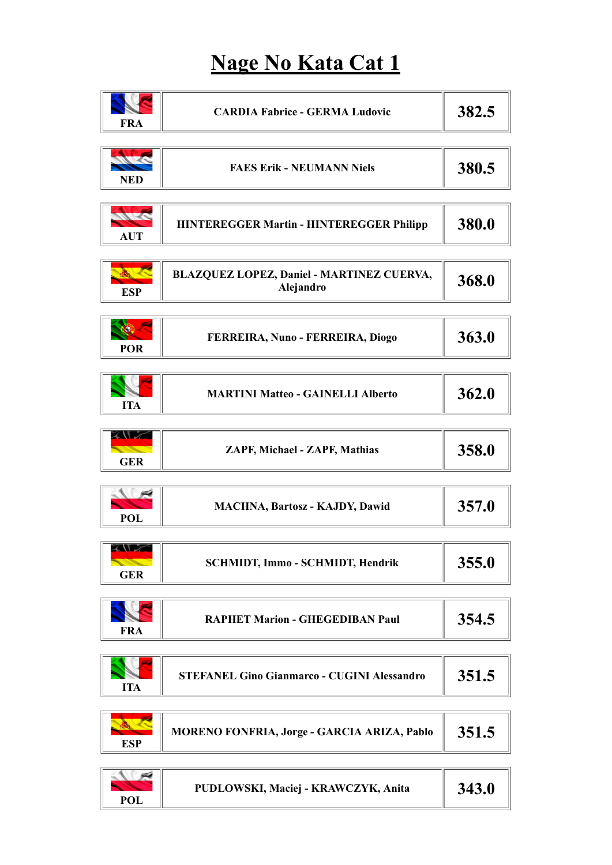#### Nage No Kata Cat 1

| <b>FRA</b>                                                                                                                                                                                                                                                         | <b>CARDIA Fabrice - GERMA Ludovic</b>                  | 382.5 |
|--------------------------------------------------------------------------------------------------------------------------------------------------------------------------------------------------------------------------------------------------------------------|--------------------------------------------------------|-------|
| <b>NED</b>                                                                                                                                                                                                                                                         | <b>FAES Erik - NEUMANN Niels</b>                       | 380.5 |
| <b>AUT</b>                                                                                                                                                                                                                                                         | <b>HINTEREGGER Martin - HINTEREGGER Philipp</b>        | 380.0 |
| <b>ESP</b>                                                                                                                                                                                                                                                         | BLAZQUEZ LOPEZ, Daniel - MARTINEZ CUERVA,<br>Alejandro | 368.0 |
| <b>POR</b>                                                                                                                                                                                                                                                         | FERREIRA, Nuno - FERREIRA, Diogo                       | 363.0 |
| <b>ITA</b>                                                                                                                                                                                                                                                         | <b>MARTINI Matteo - GAINELLI Alberto</b>               | 362.0 |
| <b>XANDY</b><br><u>the contract of the contract of the contract of the contract of the contract of the contract of the contract of the contract of the contract of the contract of the contract of the contract of the contract of the contract </u><br><b>GER</b> | ZAPF, Michael - ZAPF, Mathias                          | 358.0 |
| <b>POL</b>                                                                                                                                                                                                                                                         | MACHNA, Bartosz - KAJDY, Dawid                         | 357.0 |
| スリン<br><b>START OF STRAINING COMPANY</b><br><b>GER</b>                                                                                                                                                                                                             | SCHMIDT, Immo - SCHMIDT, Hendrik                       | 355.0 |
| <b>FRA</b>                                                                                                                                                                                                                                                         | <b>RAPHET Marion - GHEGEDIBAN Paul</b>                 | 354.5 |
| <b>ITA</b>                                                                                                                                                                                                                                                         | <b>STEFANEL Gino Gianmarco - CUGINI Alessandro</b>     | 351.5 |
| <b>ESP</b>                                                                                                                                                                                                                                                         | MORENO FONFRIA, Jorge - GARCIA ARIZA, Pablo            | 351.5 |
| <b>POL</b>                                                                                                                                                                                                                                                         | PUDLOWSKI, Maciej - KRAWCZYK, Anita                    | 343.0 |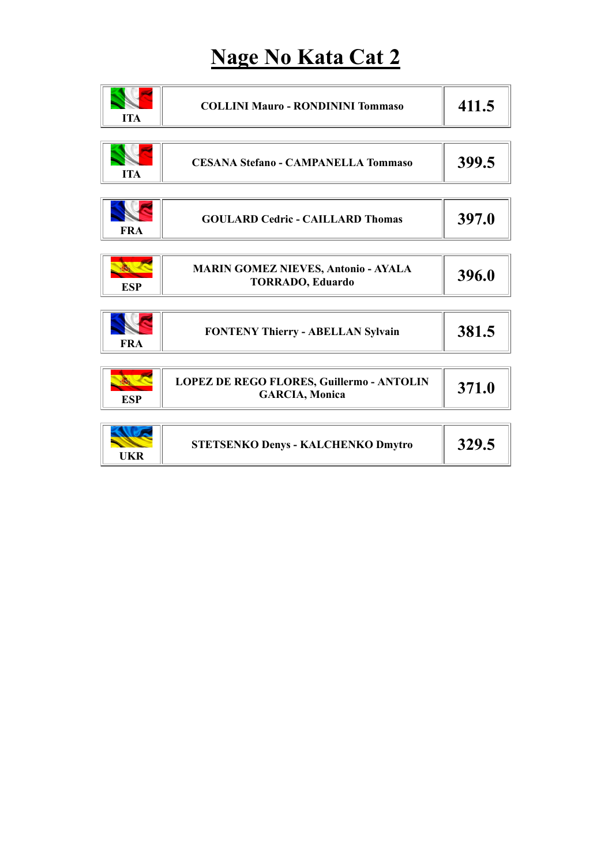### Nage No Kata Cat 2

| <b>ITA</b> | <b>COLLINI Mauro - RONDININI Tommaso</b>                              | 411.5 |
|------------|-----------------------------------------------------------------------|-------|
| <b>ITA</b> | <b>CESANA Stefano - CAMPANELLA Tommaso</b>                            | 399.5 |
| <b>FRA</b> | <b>GOULARD Cedric - CAILLARD Thomas</b>                               | 397.0 |
| <b>ESP</b> | <b>MARIN GOMEZ NIEVES, Antonio - AYALA</b><br><b>TORRADO, Eduardo</b> | 396.0 |
| <b>FRA</b> | FONTENY Thierry - ABELLAN Sylvain                                     | 381.5 |
| <b>ESP</b> | LOPEZ DE REGO FLORES, Guillermo - ANTOLIN<br><b>GARCIA</b> , Monica   | 371.0 |
| <b>UKR</b> | <b>STETSENKO Denys - KALCHENKO Dmytro</b>                             | 329.5 |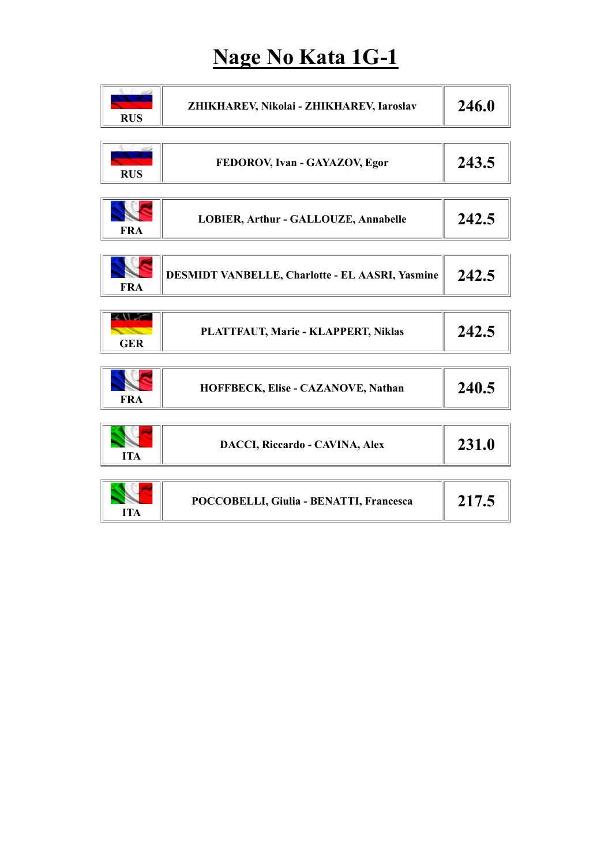# Nage No Kata 1G-1

| <b>RUS</b>                                      | ZHIKHAREV, Nikolai - ZHIKHAREV, Iaroslav        | 246.0 |
|-------------------------------------------------|-------------------------------------------------|-------|
| <b>RUS</b>                                      | FEDOROV, Ivan - GAYAZOV, Egor                   | 243.5 |
| <b>FRA</b>                                      | LOBIER, Arthur - GALLOUZE, Annabelle            | 242.5 |
| <b>FRA</b>                                      | DESMIDT VANBELLE, Charlotte - EL AASRI, Yasmine | 242.5 |
| <b>XV 76</b><br><b>CONTRACTOR</b><br><b>GER</b> | PLATTFAUT, Marie - KLAPPERT, Niklas             | 242.5 |
| <b>FRA</b>                                      | HOFFBECK, Elise - CAZANOVE, Nathan              | 240.5 |
| <b>ITA</b>                                      | <b>DACCI, Riccardo - CAVINA, Alex</b>           | 231.0 |
| <b>ITA</b>                                      | POCCOBELLI, Giulia - BENATTI, Francesca         | 217.5 |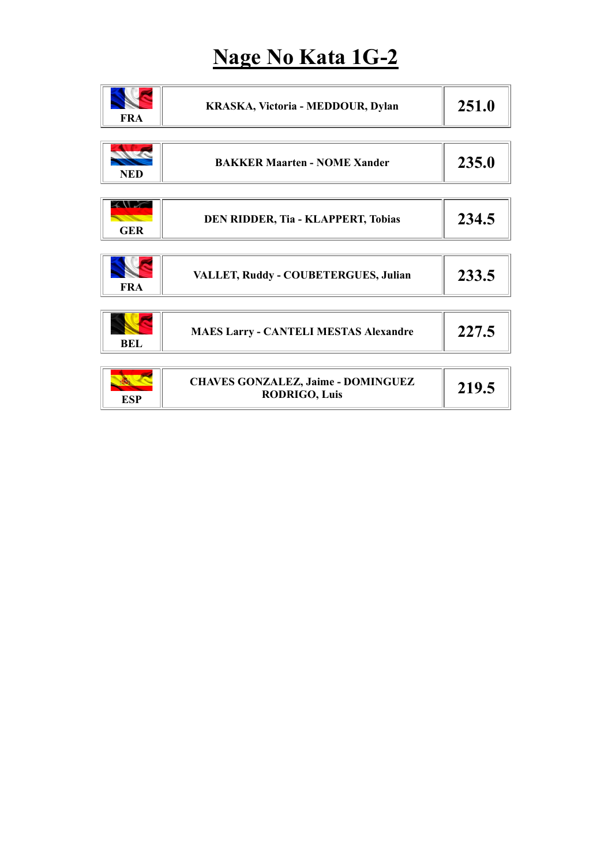## Nage No Kata 1G-2

| <b>FRA</b>                | KRASKA, Victoria - MEDDOUR, Dylan                                 | 251.0 |
|---------------------------|-------------------------------------------------------------------|-------|
| <b>NED</b>                | <b>BAKKER Maarten - NOME Xander</b>                               | 235.0 |
| $2\sqrt{2}$<br><b>GER</b> | DEN RIDDER, Tia - KLAPPERT, Tobias                                | 234.5 |
| <b>FRA</b>                | VALLET, Ruddy - COUBETERGUES, Julian                              | 233.5 |
| <b>BEL</b>                | <b>MAES Larry - CANTELI MESTAS Alexandre</b>                      | 227.5 |
| <b>ESP</b>                | <b>CHAVES GONZALEZ, Jaime - DOMINGUEZ</b><br><b>RODRIGO, Luis</b> | 219.5 |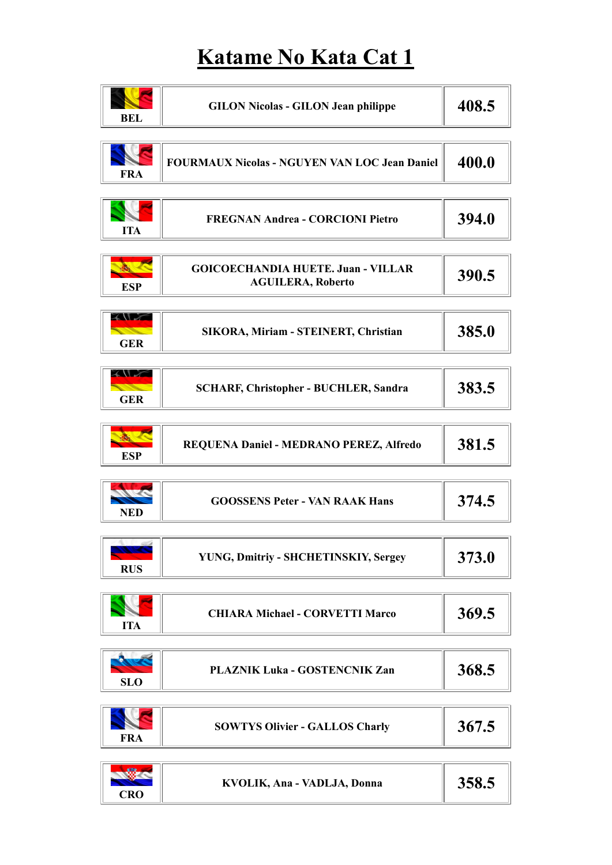### Katame No Kata Cat 1

| <b>BEL</b>                                                                                                                                                                                                                                                       | <b>GILON Nicolas - GILON Jean philippe</b>                            | 408.5 |
|------------------------------------------------------------------------------------------------------------------------------------------------------------------------------------------------------------------------------------------------------------------|-----------------------------------------------------------------------|-------|
| <b>FRA</b>                                                                                                                                                                                                                                                       | <b>FOURMAUX Nicolas - NGUYEN VAN LOC Jean Daniel</b>                  | 400.0 |
| <b>ITA</b>                                                                                                                                                                                                                                                       | <b>FREGNAN Andrea - CORCIONI Pietro</b>                               | 394.0 |
| <b>ESP</b>                                                                                                                                                                                                                                                       | <b>GOICOECHANDIA HUETE. Juan - VILLAR</b><br><b>AGUILERA, Roberto</b> | 390.5 |
| <b>XVV</b><br><b>STATE</b><br><b>GER</b>                                                                                                                                                                                                                         | SIKORA, Miriam - STEINERT, Christian                                  | 385.0 |
| <b>XVV</b><br><u>and a shear that a go that a go that a go that a go that a go that a go that a go that a go that a go that a go the state and in the go that a go that a go that a go the go that a go the go that a go the go that a go the </u><br><b>GER</b> | <b>SCHARF, Christopher - BUCHLER, Sandra</b>                          | 383.5 |
| <b>ESP</b>                                                                                                                                                                                                                                                       | REQUENA Daniel - MEDRANO PEREZ, Alfredo                               | 381.5 |
| <b>NED</b>                                                                                                                                                                                                                                                       | <b>GOOSSENS Peter - VAN RAAK Hans</b>                                 | 374.5 |
| <b>RUS</b>                                                                                                                                                                                                                                                       | YUNG, Dmitriy - SHCHETINSKIY, Sergey                                  | 373.0 |
| <b>ITA</b>                                                                                                                                                                                                                                                       | <b>CHIARA Michael - CORVETTI Marco</b>                                | 369.5 |
| <b>SLO</b>                                                                                                                                                                                                                                                       | PLAZNIK Luka - GOSTENCNIK Zan                                         | 368.5 |
| <b>FRA</b>                                                                                                                                                                                                                                                       | <b>SOWTYS Olivier - GALLOS Charly</b>                                 | 367.5 |
| <b>CRO</b>                                                                                                                                                                                                                                                       | KVOLIK, Ana - VADLJA, Donna                                           | 358.5 |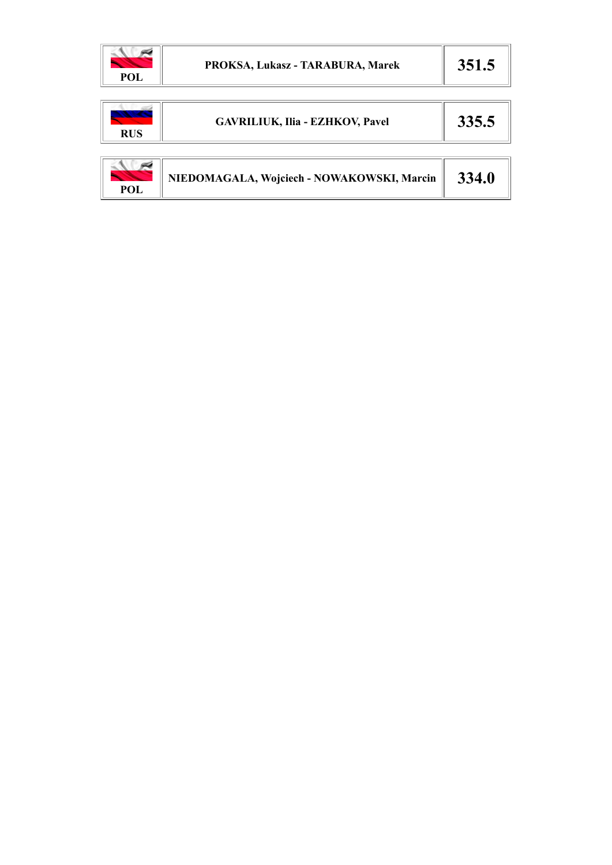

| <b>RUS</b> | <b>GAVRILIUK, Ilia - EZHKOV, Pavel</b>     | 335.5 |
|------------|--------------------------------------------|-------|
| POL        | NIEDOMAGALA, Wojciech - NOWAKOWSKI, Marcin | 334.0 |

 $\mathbb{I}$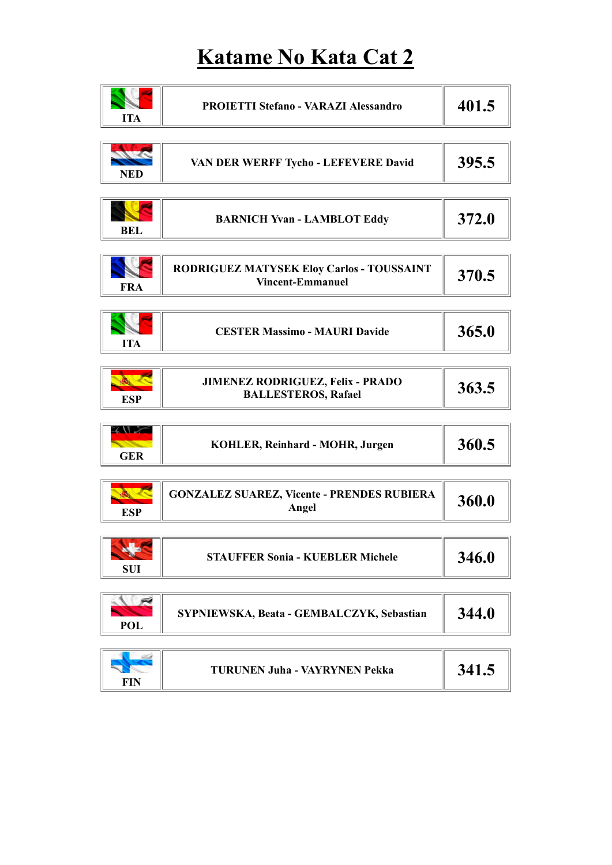## Katame No Kata Cat 2

| <b>ITA</b>                                                     | <b>PROIETTI Stefano - VARAZI Alessandro</b>                          | 401.5 |
|----------------------------------------------------------------|----------------------------------------------------------------------|-------|
| <b>NED</b>                                                     | VAN DER WERFF Tycho - LEFEVERE David                                 | 395.5 |
| <b>BEL</b>                                                     | <b>BARNICH Yvan - LAMBLOT Eddy</b>                                   | 372.0 |
| <b>FRA</b>                                                     | RODRIGUEZ MATYSEK Eloy Carlos - TOUSSAINT<br><b>Vincent-Emmanuel</b> | 370.5 |
| <b>ITA</b>                                                     | <b>CESTER Massimo - MAURI Davide</b>                                 | 365.0 |
| <b>ESP</b>                                                     | JIMENEZ RODRIGUEZ, Felix - PRADO<br><b>BALLESTEROS, Rafael</b>       | 363.5 |
| <b>XVIX</b><br><b>START OF STRAINING COMPANY</b><br><b>GER</b> | KOHLER, Reinhard - MOHR, Jurgen                                      | 360.5 |
| <b>ESP</b>                                                     | <b>GONZALEZ SUAREZ, Vicente - PRENDES RUBIERA</b><br>Angel           | 360.0 |
| a de la<br><b>SUI</b>                                          | <b>STAUFFER Sonia - KUEBLER Michele</b>                              | 346.0 |
| Ñ<br><b>POL</b>                                                | SYPNIEWSKA, Beata - GEMBALCZYK, Sebastian                            | 344.0 |

| <b>TURUNEN Juha - VAYRYNEN Pekka</b><br>JT1.J<br>FIN |  |
|------------------------------------------------------|--|
|------------------------------------------------------|--|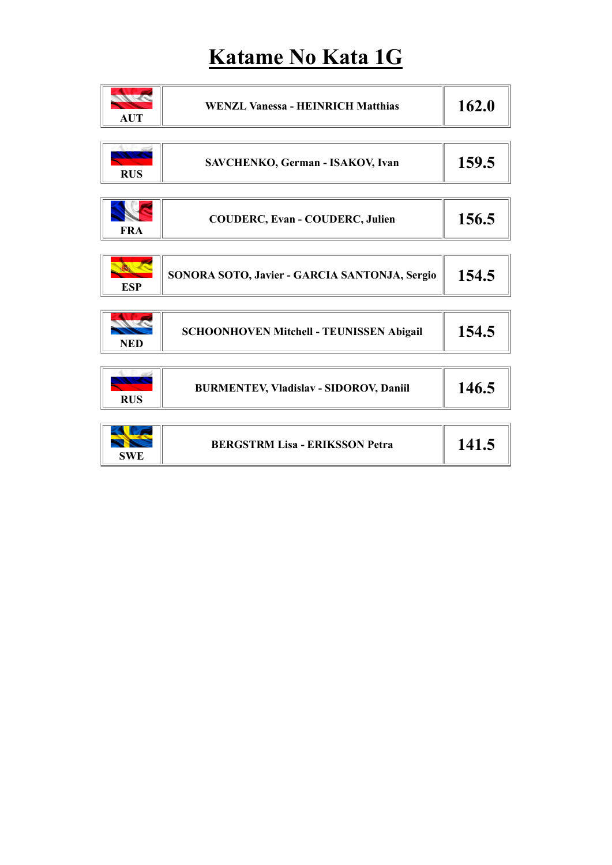## Katame No Kata 1G

| <b>AUT</b> | <b>WENZL Vanessa - HEINRICH Matthias</b>      | 162.0 |
|------------|-----------------------------------------------|-------|
|            |                                               |       |
| <b>RUS</b> | SAVCHENKO, German - ISAKOV, Ivan              | 159.5 |
|            |                                               |       |
| <b>FRA</b> | <b>COUDERC, Evan - COUDERC, Julien</b>        | 156.5 |
|            |                                               |       |
| <b>ESP</b> | SONORA SOTO, Javier - GARCIA SANTONJA, Sergio | 154.5 |
|            |                                               |       |
| <b>NED</b> | SCHOONHOVEN Mitchell - TEUNISSEN Abigail      | 154.5 |
|            |                                               |       |
| <b>RUS</b> | <b>BURMENTEV, Vladislav - SIDOROV, Daniil</b> | 146.5 |
|            |                                               |       |
| <b>SWE</b> | <b>BERGSTRM Lisa - ERIKSSON Petra</b>         | 141.5 |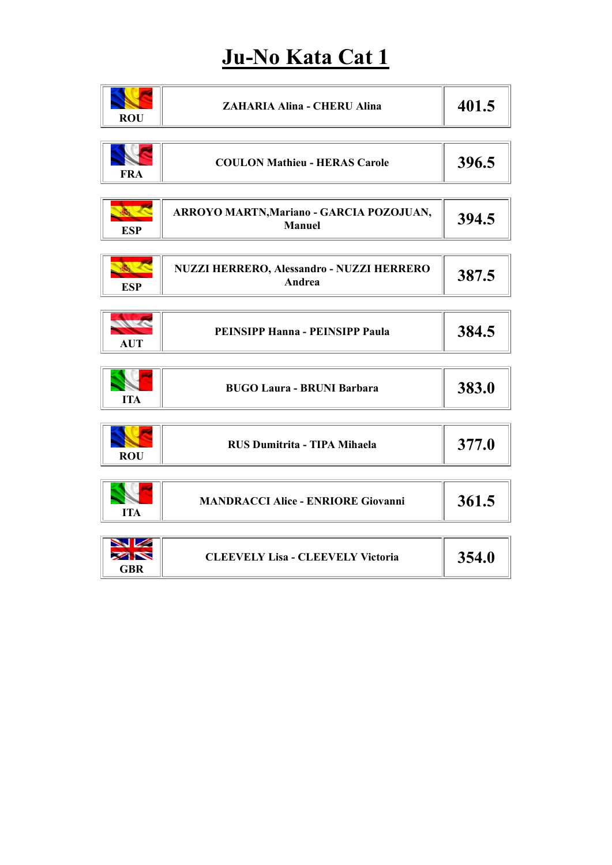# Ju-No Kata Cat 1

| 401.5<br><b>ZAHARIA Alina - CHERU Alina</b><br><b>ROU</b><br>396.5<br><b>COULON Mathieu - HERAS Carole</b><br><b>FRA</b><br>あい こ<br>ARROYO MARTN, Mariano - GARCIA POZOJUAN,<br>394.5<br>Manuel |
|-------------------------------------------------------------------------------------------------------------------------------------------------------------------------------------------------|
|                                                                                                                                                                                                 |
|                                                                                                                                                                                                 |
| <b>ESP</b>                                                                                                                                                                                      |
| R<br>NUZZI HERRERO, Alessandro - NUZZI HERRERO<br>387.5<br>Andrea<br><b>ESP</b>                                                                                                                 |
| Mr C<br>384.5<br>PEINSIPP Hanna - PEINSIPP Paula<br><b>AUT</b>                                                                                                                                  |
| 383.0<br><b>BUGO Laura - BRUNI Barbara</b><br><b>ITA</b>                                                                                                                                        |
| 377.0<br>RUS Dumitrita - TIPA Mihaela<br><b>ROU</b>                                                                                                                                             |
| 361.5<br><b>MANDRACCI Alice - ENRIORE Giovanni</b><br><b>ITA</b>                                                                                                                                |
| <b>SVZ</b><br><b>EXIST</b><br>354.0<br><b>CLEEVELY Lisa - CLEEVELY Victoria</b><br><b>GBR</b>                                                                                                   |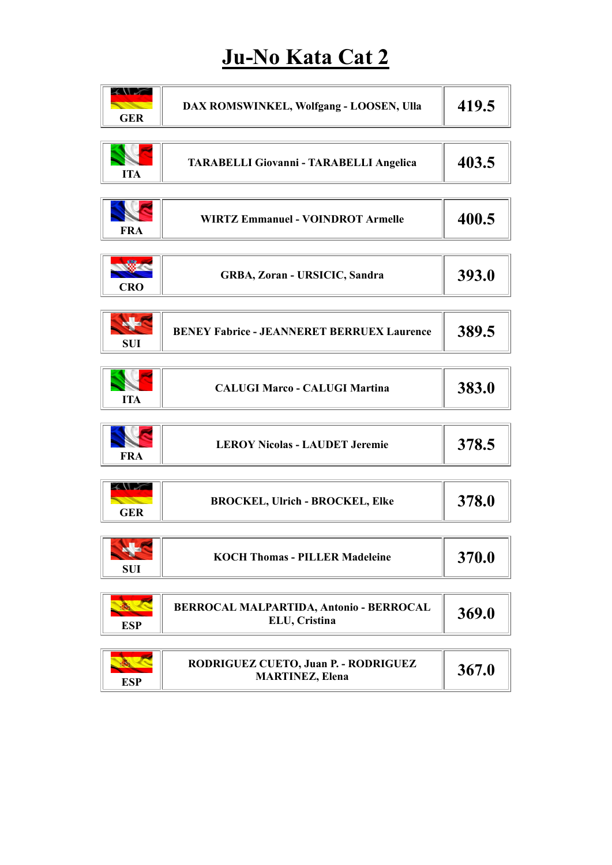## Ju-No Kata Cat 2

| <b>XVI</b><br><b>GER</b>                                                                                                                                                                                                                                         | DAX ROMSWINKEL, Wolfgang - LOOSEN, Ulla                        | 419.5 |
|------------------------------------------------------------------------------------------------------------------------------------------------------------------------------------------------------------------------------------------------------------------|----------------------------------------------------------------|-------|
| <b>ITA</b>                                                                                                                                                                                                                                                       | TARABELLI Giovanni - TARABELLI Angelica                        | 403.5 |
| <b>FRA</b>                                                                                                                                                                                                                                                       | <b>WIRTZ Emmanuel - VOINDROT Armelle</b>                       | 400.5 |
| <b>CRO</b>                                                                                                                                                                                                                                                       | GRBA, Zoran - URSICIC, Sandra                                  | 393.0 |
| <b>No.</b><br><b>SUI</b>                                                                                                                                                                                                                                         | <b>BENEY Fabrice - JEANNERET BERRUEX Laurence</b>              | 389.5 |
| <b>ITA</b>                                                                                                                                                                                                                                                       | <b>CALUGI Marco - CALUGI Martina</b>                           | 383.0 |
| <b>FRA</b>                                                                                                                                                                                                                                                       | <b>LEROY Nicolas - LAUDET Jeremie</b>                          | 378.5 |
| <b>ANT</b><br><u>the contract of the contract of the contract of the contract of the contract of the contract of the contract of the contract of the contract of the contract of the contract of the contract of the contract of the contract </u><br><b>GER</b> | <b>BROCKEL, Ulrich - BROCKEL, Elke</b>                         | 378.0 |
| HA<br><b>SUI</b>                                                                                                                                                                                                                                                 | <b>KOCH Thomas - PILLER Madeleine</b>                          | 370.0 |
| <b>ESP</b>                                                                                                                                                                                                                                                       | BERROCAL MALPARTIDA, Antonio - BERROCAL<br>ELU, Cristina       | 369.0 |
| <b>ALL SECTION</b><br><b>ESP</b>                                                                                                                                                                                                                                 | RODRIGUEZ CUETO, Juan P. - RODRIGUEZ<br><b>MARTINEZ, Elena</b> | 367.0 |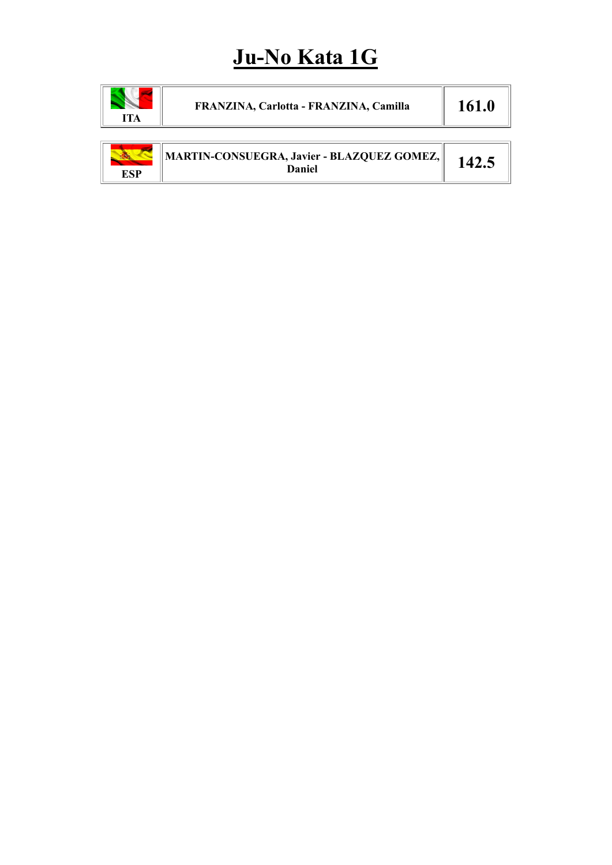## Ju-No Kata 1G

| <b>ITA</b> | FRANZINA, Carlotta - FRANZINA, Camilla               | 161.0 |
|------------|------------------------------------------------------|-------|
| <b>ESP</b> | MARTIN-CONSUEGRA, Javier - BLAZQUEZ GOMEZ,<br>Daniel | 142.5 |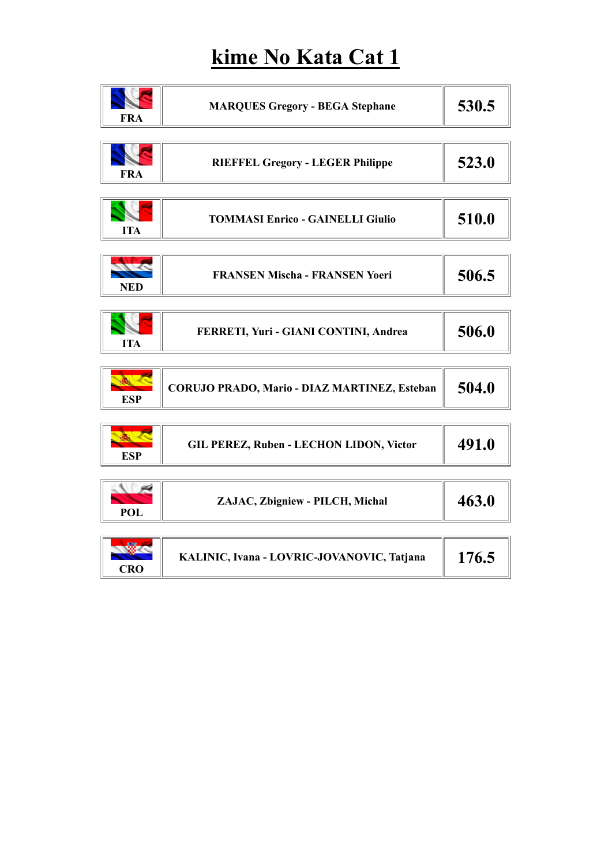# kime No Kata Cat 1

| <b>FRA</b> | <b>MARQUES Gregory - BEGA Stephane</b>         | 530.5 |
|------------|------------------------------------------------|-------|
| <b>FRA</b> | <b>RIEFFEL Gregory - LEGER Philippe</b>        | 523.0 |
| <b>ITA</b> | <b>TOMMASI Enrico - GAINELLI Giulio</b>        | 510.0 |
| <b>NED</b> | <b>FRANSEN Mischa - FRANSEN Yoeri</b>          | 506.5 |
| <b>ITA</b> | FERRETI, Yuri - GIANI CONTINI, Andrea          | 506.0 |
| <b>ESP</b> | CORUJO PRADO, Mario - DIAZ MARTINEZ, Esteban   | 504.0 |
| <b>ESP</b> | <b>GIL PEREZ, Ruben - LECHON LIDON, Victor</b> | 491.0 |
| <b>POL</b> | ZAJAC, Zbigniew - PILCH, Michal                | 463.0 |
| <b>CRO</b> | KALINIC, Ivana - LOVRIC-JOVANOVIC, Tatjana     | 176.5 |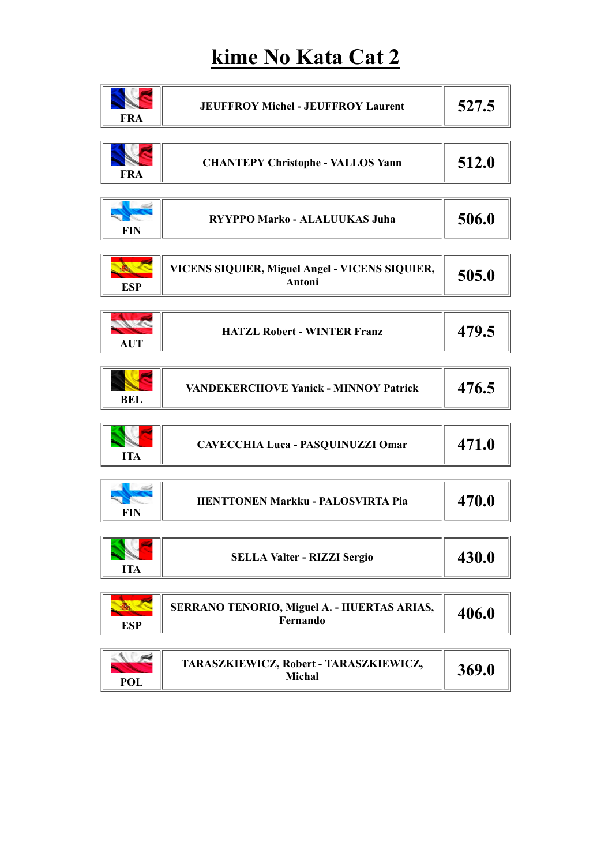### kime No Kata Cat 2

| <b>FRA</b>          | <b>JEUFFROY Michel - JEUFFROY Laurent</b>                | 527.5 |
|---------------------|----------------------------------------------------------|-------|
| <b>FRA</b>          | <b>CHANTEPY Christophe - VALLOS Yann</b>                 | 512.0 |
| <b>FIN</b>          | RYYPPO Marko - ALALUUKAS Juha                            | 506.0 |
| <b>ESP</b>          | VICENS SIQUIER, Miguel Angel - VICENS SIQUIER,<br>Antoni | 505.0 |
| Mr. C<br><b>AUT</b> | <b>HATZL Robert - WINTER Franz</b>                       | 479.5 |
| <b>BEL</b>          | <b>VANDEKERCHOVE Yanick - MINNOY Patrick</b>             | 476.5 |
| <b>ITA</b>          | <b>CAVECCHIA Luca - PASQUINUZZI Omar</b>                 | 471.0 |
| <b>FIN</b>          | HENTTONEN Markku - PALOSVIRTA Pia                        | 470.0 |
| <b>ITA</b>          | <b>SELLA Valter - RIZZI Sergio</b>                       | 430.0 |
|                     |                                                          |       |

| ESP | SERRANO TENORIO, Miguel A. - HUERTAS ARIAS,<br>Fernando | 406.0 |
|-----|---------------------------------------------------------|-------|
|-----|---------------------------------------------------------|-------|

| <b>POL</b> | TARASZKIEWICZ, Robert - TARASZKIEWICZ,<br>Michal | 369.0 |
|------------|--------------------------------------------------|-------|
|------------|--------------------------------------------------|-------|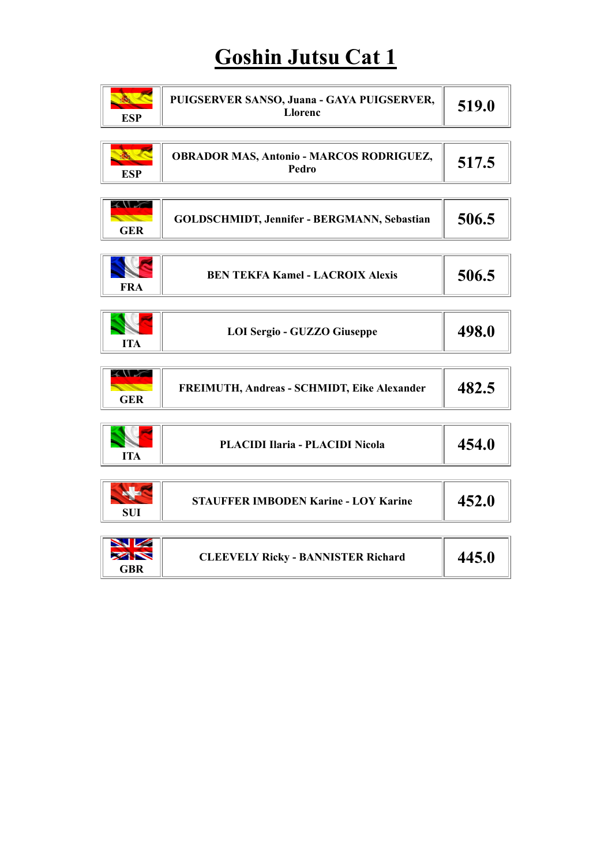## Goshin Jutsu Cat 1

| <b>ESP</b>                                 | PUIGSERVER SANSO, Juana - GAYA PUIGSERVER,<br><b>Llorenc</b> | 519.0 |
|--------------------------------------------|--------------------------------------------------------------|-------|
| <b>ESP</b>                                 | <b>OBRADOR MAS, Antonio - MARCOS RODRIGUEZ,</b><br>Pedro     | 517.5 |
| <b>XVV</b><br><b>STATE</b><br><b>GER</b>   | <b>GOLDSCHMIDT, Jennifer - BERGMANN, Sebastian</b>           | 506.5 |
| <b>FRA</b>                                 | <b>BEN TEKFA Kamel - LACROIX Alexis</b>                      | 506.5 |
| <b>ITA</b>                                 | <b>LOI Sergio - GUZZO Giuseppe</b>                           | 498.0 |
| <b>XANDA</b><br><b>STATE</b><br><b>GER</b> | FREIMUTH, Andreas - SCHMIDT, Eike Alexander                  | 482.5 |
| <b>ITA</b>                                 | <b>PLACIDI Ilaria - PLACIDI Nicola</b>                       | 454.0 |
| <b>SUI</b>                                 | <b>STAUFFER IMBODEN Karine - LOY Karine</b>                  | 452.0 |
| WZ<br><b>XXX</b><br><b>GBR</b>             | <b>CLEEVELY Ricky - BANNISTER Richard</b>                    | 445.0 |